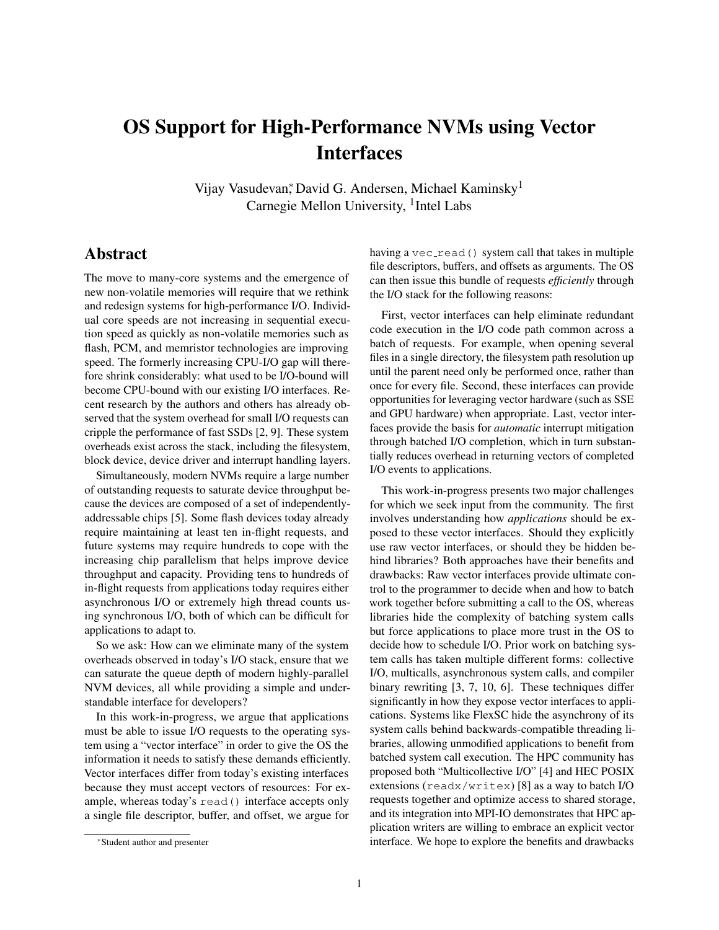## OS Support for High-Performance NVMs using Vector Interfaces

Vijay Vasudevan, David G. Andersen, Michael Kaminsky<sup>1</sup> Carnegie Mellon University, <sup>1</sup>Intel Labs

## Abstract

The move to many-core systems and the emergence of new non-volatile memories will require that we rethink and redesign systems for high-performance I/O. Individual core speeds are not increasing in sequential execution speed as quickly as non-volatile memories such as flash, PCM, and memristor technologies are improving speed. The formerly increasing CPU-I/O gap will therefore shrink considerably: what used to be I/O-bound will become CPU-bound with our existing I/O interfaces. Recent research by the authors and others has already observed that the system overhead for small I/O requests can cripple the performance of fast SSDs [[2](#page-1-0), [9](#page-1-1)]. These system overheads exist across the stack, including the filesystem, block device, device driver and interrupt handling layers.

Simultaneously, modern NVMs require a large number of outstanding requests to saturate device throughput because the devices are composed of a set of independentlyaddressable chips [[5](#page-1-2)]. Some flash devices today already require maintaining at least ten in-flight requests, and future systems may require hundreds to cope with the increasing chip parallelism that helps improve device throughput and capacity. Providing tens to hundreds of in-flight requests from applications today requires either asynchronous I/O or extremely high thread counts using synchronous I/O, both of which can be difficult for applications to adapt to.

So we ask: How can we eliminate many of the system overheads observed in today's I/O stack, ensure that we can saturate the queue depth of modern highly-parallel NVM devices, all while providing a simple and understandable interface for developers?

In this work-in-progress, we argue that applications must be able to issue I/O requests to the operating system using a "vector interface" in order to give the OS the information it needs to satisfy these demands efficiently. Vector interfaces differ from today's existing interfaces because they must accept vectors of resources: For example, whereas today's read() interface accepts only a single file descriptor, buffer, and offset, we argue for

having a  $vec$ read() system call that takes in multiple file descriptors, buffers, and offsets as arguments. The OS can then issue this bundle of requests *efficiently* through the I/O stack for the following reasons:

First, vector interfaces can help eliminate redundant code execution in the I/O code path common across a batch of requests. For example, when opening several files in a single directory, the filesystem path resolution up until the parent need only be performed once, rather than once for every file. Second, these interfaces can provide opportunities for leveraging vector hardware (such as SSE and GPU hardware) when appropriate. Last, vector interfaces provide the basis for *automatic* interrupt mitigation through batched I/O completion, which in turn substantially reduces overhead in returning vectors of completed I/O events to applications.

This work-in-progress presents two major challenges for which we seek input from the community. The first involves understanding how *applications* should be exposed to these vector interfaces. Should they explicitly use raw vector interfaces, or should they be hidden behind libraries? Both approaches have their benefits and drawbacks: Raw vector interfaces provide ultimate control to the programmer to decide when and how to batch work together before submitting a call to the OS, whereas libraries hide the complexity of batching system calls but force applications to place more trust in the OS to decide how to schedule I/O. Prior work on batching system calls has taken multiple different forms: collective I/O, multicalls, asynchronous system calls, and compiler binary rewriting [[3](#page-1-3), [7](#page-1-4), [10](#page-1-5), [6](#page-1-6)]. These techniques differ significantly in how they expose vector interfaces to applications. Systems like FlexSC hide the asynchrony of its system calls behind backwards-compatible threading libraries, allowing unmodified applications to benefit from batched system call execution. The HPC community has proposed both "Multicollective I/O" [[4](#page-1-7)] and HEC POSIX extensions (readx/writex) [[8](#page-1-8)] as a way to batch I/O requests together and optimize access to shared storage, and its integration into MPI-IO demonstrates that HPC application writers are willing to embrace an explicit vector interface. We hope to explore the benefits and drawbacks

<sup>∗</sup>Student author and presenter